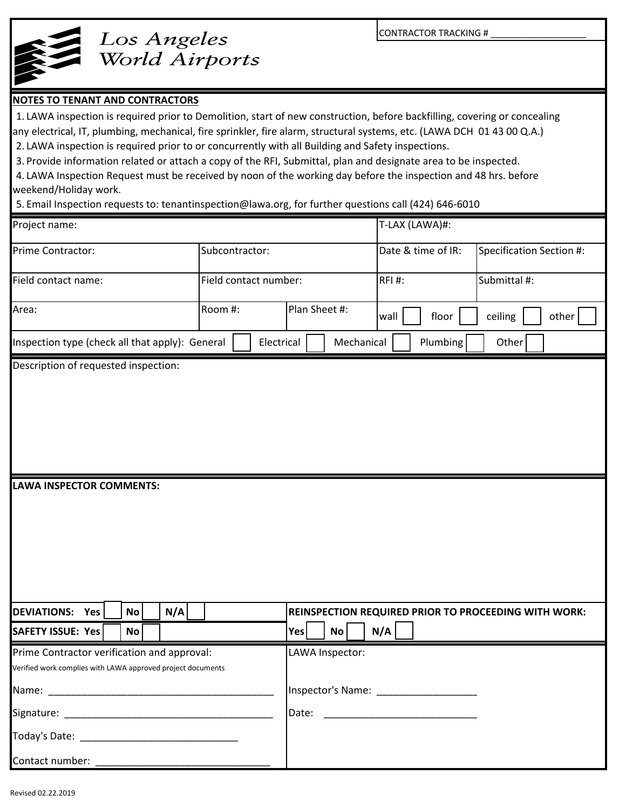CONTRACTOR TRACKING #

## Los Angeles World Airports

## **NOTES TO TENANT AND CONTRACTORS**

1. LAWA inspection is required prior to Demolition, start of new construction, before backfilling, covering or concealing

any electrical, IT, plumbing, mechanical, fire sprinkler, fire alarm, structural systems, etc. (LAWA DCH 01 43 00 Q.A.)

2. LAWA inspection is required prior to or concurrently with all Building and Safety inspections.

3. Provide information related or attach a copy of the RFI, Submittal, plan and designate area to be inspected.

4. LAWA Inspection Request must be received by noon of the working day before the inspection and 48 hrs. before weekend/Holiday work.

5. Email Inspection requests to: tenantinspection@lawa.org, for further questions call (424) 646-6010

| Project name:                                                                                              |                       | T-LAX (LAWA)#:  |                    |                                                      |
|------------------------------------------------------------------------------------------------------------|-----------------------|-----------------|--------------------|------------------------------------------------------|
| Prime Contractor:                                                                                          | Subcontractor:        |                 | Date & time of IR: | Specification Section #:                             |
| Field contact name:                                                                                        | Field contact number: |                 | <b>RFI#:</b>       | Submittal #:                                         |
| Area:                                                                                                      | Room #:               | Plan Sheet #:   | floor<br>wall      | other<br>ceiling                                     |
| Inspection type (check all that apply): General                                                            | Electrical            | Mechanical      | Plumbing           | Other                                                |
| Description of requested inspection:                                                                       |                       |                 |                    |                                                      |
|                                                                                                            |                       |                 |                    |                                                      |
| <b>LAWA INSPECTOR COMMENTS:</b>                                                                            |                       |                 |                    |                                                      |
| <b>DEVIATIONS:</b><br>No<br>N/A<br>Yes                                                                     |                       |                 |                    | REINSPECTION REQUIRED PRIOR TO PROCEEDING WITH WORK: |
| <b>SAFETY ISSUE: Yes</b><br>No                                                                             |                       | No<br>Yes       | N/A                |                                                      |
| Prime Contractor verification and approval:<br>Verified work complies with LAWA approved project documents |                       | LAWA Inspector: |                    |                                                      |
|                                                                                                            |                       |                 |                    |                                                      |
|                                                                                                            |                       |                 |                    |                                                      |
|                                                                                                            |                       |                 |                    |                                                      |
|                                                                                                            |                       |                 |                    |                                                      |